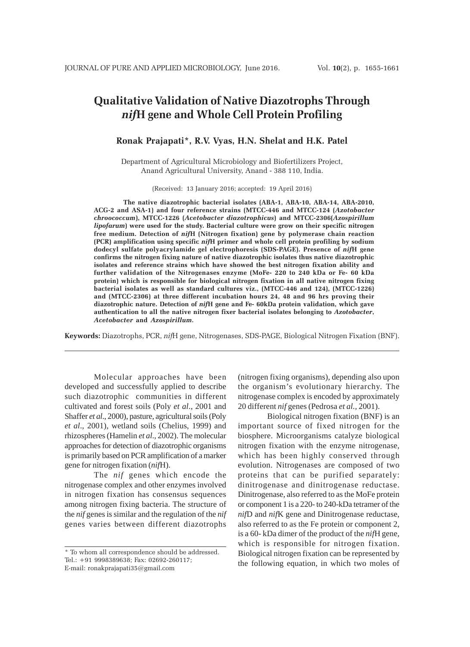# **Qualitative Validation of Native Diazotrophs Through** *nif***H gene and Whole Cell Protein Profiling**

# **Ronak Prajapati\*, R.V. Vyas, H.N. Shelat and H.K. Patel**

Department of Agricultural Microbiology and Biofertilizers Project, Anand Agricultural University, Anand - 388 110, India.

(Received: 13 January 2016; accepted: 19 April 2016)

**The native diazotrophic bacterial isolates (ABA-1, ABA-10, ABA-14, ABA-2010, ACG-2 and ASA-1) and four reference strains (MTCC-446 and MTCC-124 (***Azotobacter chroococcum***), MTCC-1226 (***Acetobacter diazotrophicus***) and MTCC-2306(***Azospirillum lipofarum***) were used for the study. Bacterial culture were grow on their specific nitrogen free medium. Detection of** *nif***H (Nitrogen fixation) gene by polymerase chain reaction (PCR) amplification using specific** *nif***H primer and whole cell protein profiling by sodium dodecyl sulfate polyacrylamide gel electrophoresis (SDS-PAGE). Presence of** *nif***H gene confirms the nitrogen fixing nature of native diazotrophic isolates thus native diazotrophic isolates and reference strains which have showed the best nitrogen fixation ability and further validation of the Nitrogenases enzyme (MoFe- 220 to 240 kDa or Fe- 60 kDa protein) which is responsible for biological nitrogen fixation in all native nitrogen fixing bacterial isolates as well as standard cultures viz., (MTCC-446 and 124), (MTCC-1226) and (MTCC-2306) at three different incubation hours 24, 48 and 96 hrs proving their diazotrophic nature. Detection of** *nif***H gene and Fe- 60kDa protein validation, which gave authentication to all the native nitrogen fixer bacterial isolates belonging to** *Azotobacter***,** *Acetobacter* **and** *Azospirillum***.**

**Keywords:** Diazotrophs, PCR, *nif*H gene, Nitrogenases, SDS-PAGE, Biological Nitrogen Fixation (BNF).

Molecular approaches have been developed and successfully applied to describe such diazotrophic communities in different cultivated and forest soils (Poly *et al*., 2001 and Shaffer *et al*., 2000), pasture, agricultural soils (Poly *et al*., 2001), wetland soils (Chelius, 1999) and rhizospheres (Hamelin *et al*., 2002). The molecular approaches for detection of diazotrophic organisms is primarily based on PCR amplification of a marker gene for nitrogen fixation (*nif*H).

The *nif* genes which encode the nitrogenase complex and other enzymes involved in nitrogen fixation has consensus sequences among nitrogen fixing bacteria. The structure of the *nif* genes is similar and the regulation of the *nif* genes varies between different diazotrophs

(nitrogen fixing organisms), depending also upon the organism's evolutionary hierarchy. The nitrogenase complex is encoded by approximately 20 different *nif* genes (Pedrosa *et al.,* 2001).

Biological nitrogen fixation (BNF) is an important source of fixed nitrogen for the biosphere. Microorganisms catalyze biological nitrogen fixation with the enzyme nitrogenase, which has been highly conserved through evolution. Nitrogenases are composed of two proteins that can be purified separately: dinitrogenase and dinitrogenase reductase. Dinitrogenase, also referred to as the MoFe protein or component 1 is a 220- to 240-kDa tetramer of the *nif*D and *nif*K gene and Dinitrogenase reductase, also referred to as the Fe protein or component 2, is a 60- kDa dimer of the product of the *nif*H gene, which is responsible for nitrogen fixation. Biological nitrogen fixation can be represented by the following equation, in which two moles of

<sup>\*</sup> To whom all correspondence should be addressed. Tel.: +91 9998389638; Fax: 02692-260117; E-mail: ronakprajapati35@gmail.com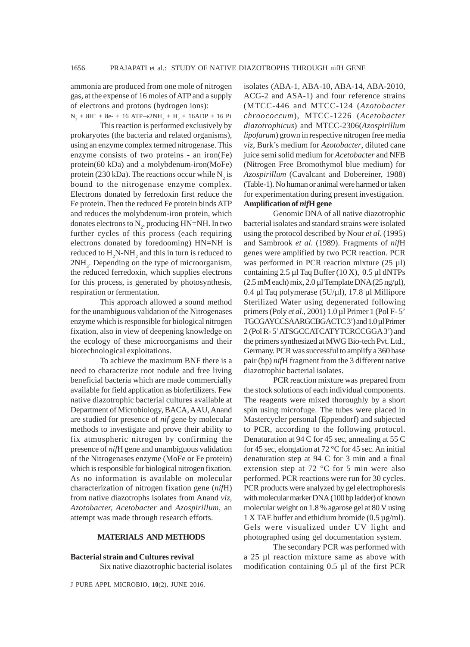ammonia are produced from one mole of nitrogen gas, at the expense of 16 moles of ATP and a supply of electrons and protons (hydrogen ions):

 $N_2 + 8H^+ + 8e^- + 16$  ATP $\rightarrow$ 2NH<sub>3</sub> + H<sub>2</sub> + 16ADP + 16 Pi This reaction is performed exclusively by prokaryotes (the bacteria and related organisms), using an enzyme complex termed nitrogenase. This enzyme consists of two proteins - an iron(Fe) protein(60 kDa) and a molybdenum-iron(MoFe) protein (230 kDa). The reactions occur while  $N_2$  is bound to the nitrogenase enzyme complex. Electrons donated by ferredoxin first reduce the Fe protein. Then the reduced Fe protein binds ATP and reduces the molybdenum-iron protein, which donates electrons to  $\text{N}_2$ , producing HN=NH. In two further cycles of this process (each requiring electrons donated by foredooming) HN=NH is reduced to  $H_2N-NH_2$  and this in turn is reduced to  $2NH<sub>3</sub>$ . Depending on the type of microorganism, the reduced ferredoxin, which supplies electrons for this process, is generated by photosynthesis, respiration or fermentation.

This approach allowed a sound method for the unambiguous validation of the Nitrogenases enzyme which is responsible for biological nitrogen fixation, also in view of deepening knowledge on the ecology of these microorganisms and their biotechnological exploitations.

To achieve the maximum BNF there is a need to characterize root nodule and free living beneficial bacteria which are made commercially available for field application as biofertilizers. Few native diazotrophic bacterial cultures available at Department of Microbiology, BACA, AAU, Anand are studied for presence of *nif* gene by molecular methods to investigate and prove their ability to fix atmospheric nitrogen by confirming the presence of *nif*H gene and unambiguous validation of the Nitrogenases enzyme (MoFe or Fe protein) which is responsible for biological nitrogen fixation. As no information is available on molecular characterization of nitrogen fixation gene (*nif*H) from native diazotrophs isolates from Anand *viz*, *Azotobacter, Acetobacter* and *Azospirillum*, an attempt was made through research efforts.

## **MATERIALS AND METHODS**

# **Bacterial strain and Cultures revival**

Six native diazotrophic bacterial isolates

J PURE APPL MICROBIO*,* **10**(2), JUNE 2016.

isolates (ABA-1, ABA-10, ABA-14, ABA-2010, ACG-2 and ASA-1) and four reference strains (MTCC-446 and MTCC-124 (*Azotobacter chroococcum*), MTCC-1226 (*Acetobacter diazotrophicus*) and MTCC-2306(*Azospirillum lipofarum*) grown in respective nitrogen free media *viz*, Burk's medium for *Azotobacter*, diluted cane juice semi solid medium for *Acetobacter* and NFB (Nitrogen Free Bromothymol blue medium) for *Azospirillum* (Cavalcant and Dobereiner, 1988) (Table-1). No human or animal were harmed or taken for experimentation during present investigation. **Amplification of** *nif***H gene**

Genomic DNA of all native diazotrophic bacterial isolates and standard strains were isolated using the protocol described by Nour *et al*. (1995) and Sambrook *et al*. (1989). Fragments of *nif*H genes were amplified by two PCR reaction. PCR was performed in PCR reaction mixture (25 µl) containing  $2.5 \mu$ l Taq Buffer (10 X), 0.5  $\mu$ l dNTPs  $(2.5 \text{ mM each})$  mix,  $2.0 \mu$ l Template DNA  $(25 \text{ ng}/\mu)$ , 0.4 µl Taq polymerase (5U/µl), 17.8 µl Millipore Sterilized Water using degenerated following primers(Poly *et al*., 2001) 1.0 µl Primer 1 (Pol F- 5' TGCGAYCCSAARGCBGACTC 3') and 1.0 µl Primer 2 (Pol R- 5' ATSGCCATCATYTCRCCGGA 3') and the primers synthesized at MWG Bio-tech Pvt. Ltd., Germany. PCR was successful to amplify a 360 base pair (bp) *nif*H fragment from the 3 different native diazotrophic bacterial isolates.

PCR reaction mixture was prepared from the stock solutions of each individual components. The reagents were mixed thoroughly by a short spin using microfuge. The tubes were placed in Mastercycler personal (Eppendorf) and subjected to PCR, according to the following protocol. Denaturation at 94 C for 45 sec, annealing at 55 C for 45 sec, elongation at 72 °C for 45 sec. An initial denaturation step at 94 C for 3 min and a final extension step at 72 °C for 5 min were also performed. PCR reactions were run for 30 cycles. PCR products were analyzed by gel electrophoresis with molecular marker DNA (100 bp ladder) of known molecular weight on 1.8 % agarose gel at 80 V using 1 X TAE buffer and ethidium bromide  $(0.5 \,\mu\text{g/ml})$ . Gels were visualized under UV light and photographed using gel documentation system.

The secondary PCR was performed with a 25 µl reaction mixture same as above with modification containing 0.5 µl of the first PCR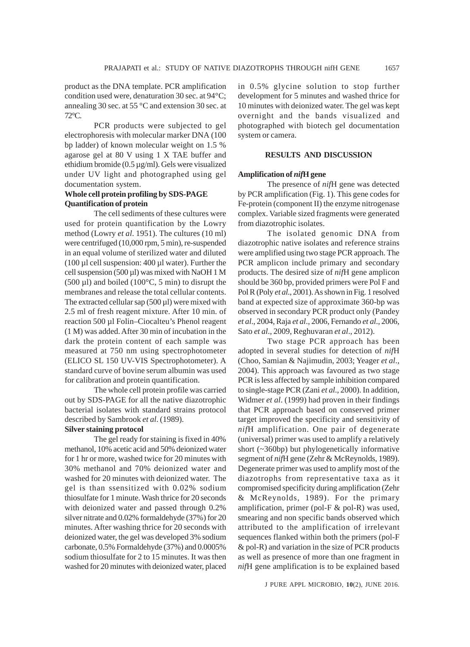product as the DNA template. PCR amplification condition used were, denaturation 30 sec. at 94°C; annealing 30 sec. at 55 °C and extension 30 sec. at 72°C.

PCR products were subjected to gel electrophoresis with molecular marker DNA (100 bp ladder) of known molecular weight on 1.5 % agarose gel at 80 V using 1 X TAE buffer and ethidium bromide ( $0.5 \mu$ g/ml). Gels were visualized under UV light and photographed using gel documentation system.

# **Whole cell protein profiling by SDS-PAGE Quantification of protein**

The cell sediments of these cultures were used for protein quantification by the Lowry method (Lowry *et al*. 1951). The cultures (10 ml) were centrifuged (10,000 rpm, 5 min), re-suspended in an equal volume of sterilized water and diluted (100 µl cell suspension: 400 µl water). Further the cell suspension  $(500 \,\mu\text{I})$  was mixed with NaOH 1 M (500  $\mu$ 1) and boiled (100 $\degree$ C, 5 min) to disrupt the membranes and release the total cellular contents. The extracted cellular sap  $(500 \,\mu\text{I})$  were mixed with 2.5 ml of fresh reagent mixture. After 10 min. of reaction 500 µl Folin–Ciocalteu's Phenol reagent (1 M) was added. After 30 min of incubation in the dark the protein content of each sample was measured at 750 nm using spectrophotometer (ELICO SL 150 UV-VIS Spectrophotometer). A standard curve of bovine serum albumin was used for calibration and protein quantification.

The whole cell protein profile was carried out by SDS-PAGE for all the native diazotrophic bacterial isolates with standard strains protocol described by Sambrook *et al*. (1989).

## **Silver staining protocol**

The gel ready for staining is fixed in 40% methanol, 10% acetic acid and 50% deionized water for 1 hr or more, washed twice for 20 minutes with 30% methanol and 70% deionized water and washed for 20 minutes with deionized water. The gel is than ssensitized with 0.02% sodium thiosulfate for 1 minute. Wash thrice for 20 seconds with deionized water and passed through 0.2% silver nitrate and 0.02% formaldehyde (37%) for 20 minutes. After washing thrice for 20 seconds with deionized water, the gel was developed 3% sodium carbonate, 0.5% Formaldehyde (37%) and 0.0005% sodium thiosulfate for 2 to 15 minutes. It was then washed for 20 minutes with deionized water, placed

in 0.5% glycine solution to stop further development for 5 minutes and washed thrice for 10 minutes with deionized water. The gel was kept overnight and the bands visualized and photographed with biotech gel documentation system or camera.

#### **RESULTS AND DISCUSSION**

## **Amplification of** *nif***H gene**

The presence of *nif*H gene was detected by PCR amplification (Fig. 1). This gene codes for Fe-protein (component II) the enzyme nitrogenase complex. Variable sized fragments were generated from diazotrophic isolates.

The isolated genomic DNA from diazotrophic native isolates and reference strains were amplified using two stage PCR approach. The PCR amplicon include primary and secondary products. The desired size of *nif*H gene amplicon should be 360 bp, provided primers were Pol F and Pol R (Poly *et al*., 2001). As shown in Fig. 1 resolved band at expected size of approximate 360-bp was observed in secondary PCR product only (Pandey *et al*., 2004, Raja *et al*., 2006, Fernando *et al*., 2006, Sato *et al*., 2009, Reghuvaran *et al*., 2012).

Two stage PCR approach has been adopted in several studies for detection of *nif*H (Choo, Samian & Najimudin, 2003; Yeager *et al*., 2004). This approach was favoured as two stage PCR is less affected by sample inhibition compared to single-stage PCR (Zani *et al*., 2000). In addition, Widmer *et al*. (1999) had proven in their findings that PCR approach based on conserved primer target improved the specificity and sensitivity of *nif*H amplification. One pair of degenerate (universal) primer was used to amplify a relatively short (~360bp) but phylogenetically informative segment of *nif*H gene (Zehr & McReynolds, 1989). Degenerate primer was used to amplify most of the diazotrophs from representative taxa as it compromised specificity during amplification (Zehr & McReynolds, 1989). For the primary amplification, primer (pol-F & pol-R) was used, smearing and non specific bands observed which attributed to the amplification of irrelevant sequences flanked within both the primers (pol-F & pol-R) and variation in the size of PCR products as well as presence of more than one fragment in *nif*H gene amplification is to be explained based

J PURE APPL MICROBIO*,* **10**(2), JUNE 2016.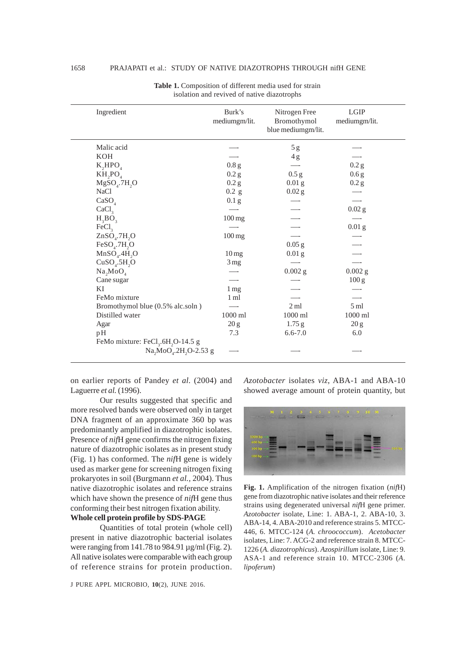| Ingredient                                                                                                              | Burk's<br>mediumgm/lit. | Nitrogen Free<br>Bromothymol<br>blue mediumgm/lit. | LGIP<br>mediumgm/lit. |
|-------------------------------------------------------------------------------------------------------------------------|-------------------------|----------------------------------------------------|-----------------------|
| Malic acid                                                                                                              |                         | 5g                                                 |                       |
| KOH                                                                                                                     |                         | 4g                                                 |                       |
| K, HPO <sub>4</sub>                                                                                                     | 0.8 g                   |                                                    | 0.2 g                 |
| $KH, PO$ <sub>4</sub>                                                                                                   | 0.2 g                   | 0.5 g                                              | 0.6 <sub>g</sub>      |
| $MgSO4$ .7H <sub>2</sub> O                                                                                              | 0.2 <sub>g</sub>        | 0.01 <sub>g</sub>                                  | 0.2 g                 |
| <b>NaCl</b>                                                                                                             | $0.2$ g                 | $0.02$ g                                           |                       |
| CaSO <sub>4</sub>                                                                                                       | 0.1 <sub>g</sub>        |                                                    |                       |
| CaCl <sub>3</sub>                                                                                                       |                         |                                                    | $0.02$ g              |
| $H_3BO_3$                                                                                                               | $100 \,\mathrm{mg}$     |                                                    |                       |
| FeCl <sub>3</sub>                                                                                                       |                         |                                                    | 0.01 <sub>g</sub>     |
| $ZnSO4$ .7H <sub>2</sub> O                                                                                              | $100 \,\mathrm{mg}$     |                                                    |                       |
| $FeSO4$ .7H <sub>2</sub> O                                                                                              |                         | $0.05$ g                                           |                       |
| MnSO <sub>4</sub> .4H <sub>2</sub> O                                                                                    | 10 <sub>mg</sub>        | 0.01 <sub>g</sub>                                  |                       |
| CuSO <sub>4</sub> .5H <sub>2</sub> O                                                                                    | 3 <sub>mg</sub>         |                                                    |                       |
| Na, MoO <sub>4</sub>                                                                                                    |                         | $0.002$ g                                          | $0.002$ g             |
| Cane sugar                                                                                                              |                         |                                                    | 100 g                 |
| ΚI                                                                                                                      | 1 <sub>mg</sub>         |                                                    |                       |
| FeMo mixture                                                                                                            | 1 ml                    |                                                    |                       |
| Bromothymol blue (0.5% alc.soln)                                                                                        |                         | 2ml                                                | 5 <sub>ml</sub>       |
| Distilled water                                                                                                         | $1000$ ml               | $1000\;\mathrm{ml}$                                | $1000\;\mathrm{ml}$   |
| Agar                                                                                                                    | 20 g                    | $1.75$ g                                           | 20 <sub>g</sub>       |
| pH                                                                                                                      | 7.3                     | $6.6 - 7.0$                                        | 6.0                   |
| FeMo mixture: FeCl <sub>3</sub> .6H <sub>2</sub> O-14.5 g<br>Na <sub>2</sub> MoO <sub>4</sub> .2H <sub>2</sub> O-2.53 g |                         |                                                    |                       |

**Table 1.** Composition of different media used for strain isolation and revived of native diazotrophs

on earlier reports of Pandey *et al.* (2004) and Laguerre *et al.* (1996).

Our results suggested that specific and more resolved bands were observed only in target DNA fragment of an approximate 360 bp was predominantly amplified in diazotrophic isolates. Presence of *nif*H gene confirms the nitrogen fixing nature of diazotrophic isolates as in present study (Fig. 1) has conformed. The *nif*H gene is widely used as marker gene for screening nitrogen fixing prokaryotes in soil (Burgmann *et al.,* 2004). Thus native diazotrophic isolates and reference strains which have shown the presence of *nif*H gene thus conforming their best nitrogen fixation ability.

# **Whole cell protein profile by SDS-PAGE**

Quantities of total protein (whole cell) present in native diazotrophic bacterial isolates were ranging from 141.78 to 984.91 µg/ml (Fig. 2). All native isolates were comparable with each group of reference strains for protein production.

J PURE APPL MICROBIO*,* **10**(2), JUNE 2016.

*Azotobacter* isolates *viz*, ABA-1 and ABA-10 showed average amount of protein quantity, but



**Fig. 1.** Amplification of the nitrogen fixation (*nif*H) gene from diazotrophic native isolates and their reference strains using degenerated universal *nif*H gene primer. *Azotobacter* isolate, Line: 1. ABA-1, 2. ABA-10, 3. ABA-14, 4. ABA-2010 and reference strains 5. MTCC-446, 6. MTCC-124 (*A. chroococcum*). *Acetobacter* isolates, Line: 7. ACG-2 and reference strain 8. MTCC-1226 (*A. diazotrophicus*). *Azospirillum* isolate, Line: 9. ASA-1 and reference strain 10. MTCC-2306 (*A. lipoferum*)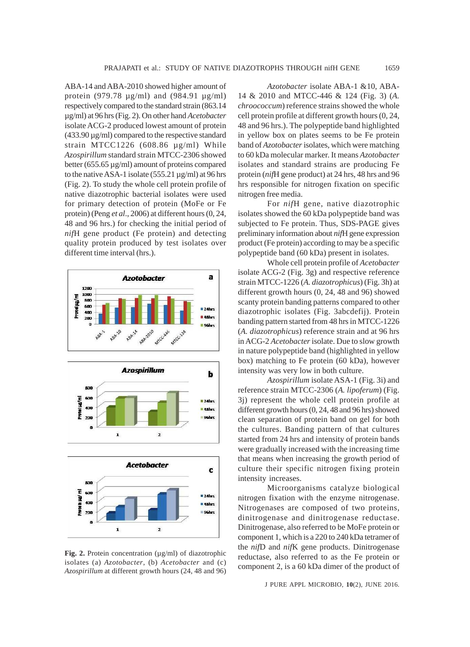ABA-14 and ABA-2010 showed higher amount of protein (979.78 µg/ml) and (984.91 µg/ml) respectively compared to the standard strain (863.14 µg/ml) at 96 hrs (Fig. 2). On other hand *Acetobacter* isolate ACG-2 produced lowest amount of protein (433.90 µg/ml) compared to the respective standard strain MTCC1226 (608.86 µg/ml) While *Azospirillum* standard strain MTCC-2306 showed better (655.65 µg/ml) amount of proteins compared to the native ASA-1 isolate (555.21 µg/ml) at 96 hrs (Fig. 2). To study the whole cell protein profile of native diazotrophic bacterial isolates were used for primary detection of protein (MoFe or Fe protein) (Peng *et al*., 2006) at different hours (0, 24, 48 and 96 hrs.) for checking the initial period of *nif*H gene product (Fe protein) and detecting quality protein produced by test isolates over different time interval (hrs.).



Fig. 2. Protein concentration ( $\mu$ g/ml) of diazotrophic isolates (a) *Azotobacter*, (b) *Acetobacter* and (c) *Azospirillum* at different growth hours (24, 48 and 96)

*Azotobacter* isolate ABA-1 &10, ABA-14 & 2010 and MTCC-446 & 124 (Fig. 3) (*A. chroococcum*) reference strains showed the whole cell protein profile at different growth hours (0, 24, 48 and 96 hrs.). The polypeptide band highlighted in yellow box on plates seems to be Fe protein band of *Azotobacter* isolates, which were matching to 60 kDa molecular marker. It means *Azotobacter* isolates and standard strains are producing Fe protein (*nif*H gene product) at 24 hrs, 48 hrs and 96 hrs responsible for nitrogen fixation on specific nitrogen free media.

For *nif*H gene, native diazotrophic isolates showed the 60 kDa polypeptide band was subjected to Fe protein. Thus, SDS-PAGE gives preliminary information about *nif*H gene expression product (Fe protein) according to may be a specific polypeptide band (60 kDa) present in isolates.

Whole cell protein profile of *Acetobacter* isolate ACG-2 (Fig. 3g) and respective reference strain MTCC-1226 (*A. diazotrophicus*) (Fig. 3h) at different growth hours (0, 24, 48 and 96) showed scanty protein banding patterns compared to other diazotrophic isolates (Fig. 3abcdefij). Protein banding pattern started from 48 hrs in MTCC-1226 (*A. diazotrophicus*) reference strain and at 96 hrs in ACG-2 *Acetobacter* isolate. Due to slow growth in nature polypeptide band (highlighted in yellow box) matching to Fe protein (60 kDa), however intensity was very low in both culture.

*Azospirillum* isolate ASA-1 (Fig. 3i) and reference strain MTCC-2306 (*A. lipoferum*) (Fig. 3j) represent the whole cell protein profile at different growth hours (0, 24, 48 and 96 hrs) showed clean separation of protein band on gel for both the cultures. Banding pattern of that cultures started from 24 hrs and intensity of protein bands were gradually increased with the increasing time that means when increasing the growth period of culture their specific nitrogen fixing protein intensity increases.

Microorganisms catalyze biological nitrogen fixation with the enzyme nitrogenase. Nitrogenases are composed of two proteins, dinitrogenase and dinitrogenase reductase. Dinitrogenase, also referred to be MoFe protein or component 1, which is a 220 to 240 kDa tetramer of the *nif*D and *nif*K gene products. Dinitrogenase reductase, also referred to as the Fe protein or component 2, is a 60 kDa dimer of the product of

J PURE APPL MICROBIO*,* **10**(2), JUNE 2016.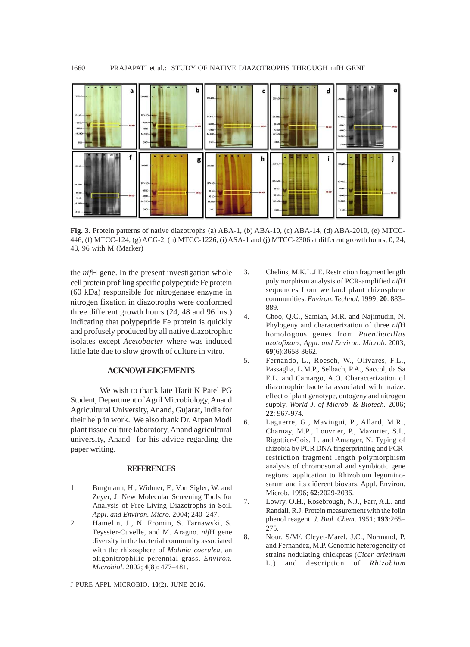

**Fig. 3.** Protein patterns of native diazotrophs (a) ABA-1, (b) ABA-10, (c) ABA-14, (d) ABA-2010, (e) MTCC-446, (f) MTCC-124, (g) ACG-2, (h) MTCC-1226, (i) ASA-1 and (j) MTCC-2306 at different growth hours; 0, 24, 48, 96 with M (Marker)

the *nif*H gene. In the present investigation whole cell protein profiling specific polypeptide Fe protein (60 kDa) responsible for nitrogenase enzyme in nitrogen fixation in diazotrophs were conformed three different growth hours (24, 48 and 96 hrs.) indicating that polypeptide Fe protein is quickly and profusely produced by all native diazotrophic isolates except *Acetobacter* where was induced little late due to slow growth of culture in vitro.

# **ACKNOWLEDGEMENTS**

We wish to thank late Harit K Patel PG Student, Department of Agril Microbiology, Anand Agricultural University, Anand, Gujarat, India for their help in work. We also thank Dr. Arpan Modi plant tissue culture laboratory, Anand agricultural university, Anand for his advice regarding the paper writing.

## **REFERENCES**

- 1. Burgmann, H., Widmer, F., Von Sigler, W. and Zeyer, J. New Molecular Screening Tools for Analysis of Free-Living Diazotrophs in Soil. *Appl. and Environ. Micro.* 2004; 240–247.
- 2. Hamelin, J., N. Fromin, S. Tarnawski, S. Teyssier-Cuvelle, and M. Aragno. *nif*H gene diversity in the bacterial community associated with the rhizosphere of *Molinia coerulea*, an oligonitrophilic perennial grass. *Environ. Microbiol.* 2002; **4**(8): 477–481.
- J PURE APPL MICROBIO*,* **10**(2), JUNE 2016.
- 3. Chelius, M.K.L.J.E. Restriction fragment length polymorphism analysis of PCR-amplified *nifH* sequences from wetland plant rhizosphere communities. *Environ. Technol.* 1999; **20**: 883– 889.
- 4. Choo, Q.C., Samian, M.R. and Najimudin, N. Phylogeny and characterization of three *nif*H homologous genes from *Paenibacillus azotofixans*, *Appl. and Environ. Microb.* 2003; **69**(6):3658-3662.
- 5. Fernando, L., Roesch, W., Olivares, F.L., Passaglia, L.M.P., Selbach, P.A., Saccol, da Sa E.L. and Camargo, A.O. Characterization of diazotrophic bacteria associated with maize: effect of plant genotype, ontogeny and nitrogen supply. *World J. of Microb. & Biotech*. 2006; **22**: 967-974.
- 6. Laguerre, G., Mavingui, P., Allard, M.R., Charnay, M.P., Louvrier, P., Mazurier, S.I., Rigottier-Gois, L. and Amarger, N. Typing of rhizobia by PCR DNA fingerprinting and PCRrestriction fragment length polymorphism analysis of chromosomal and symbiotic gene regions: application to Rhizobium leguminosarum and its diûerent biovars. Appl. Environ. Microb. 1996; **62**:2029-2036.
- 7. Lowry, O.H., Rosebrough, N.J., Farr, A.L. and Randall, R.J. Protein measurement with the folin phenol reagent. *J. Biol. Chem*. 1951; **193**:265– 275.
- 8. Nour. S/M/, Cleyet-Marel. J.C., Normand, P. and Fernandez, M.P. Genomic heterogeneity of strains nodulating chickpeas (*Cicer arietinum* L.) and description of *Rhizobium*